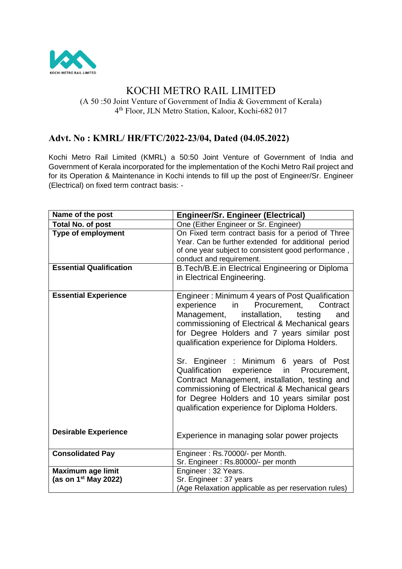

# KOCHI METRO RAIL LIMITED

(A 50 :50 Joint Venture of Government of India & Government of Kerala) 4 th Floor, JLN Metro Station, Kaloor, Kochi-682 017

## **Advt. No : KMRL/ HR/FTC/2022-23/04, Dated (04.05.2022)**

Kochi Metro Rail Limited (KMRL) a 50:50 Joint Venture of Government of India and Government of Kerala incorporated for the implementation of the Kochi Metro Rail project and for its Operation & Maintenance in Kochi intends to fill up the post of Engineer/Sr. Engineer (Electrical) on fixed term contract basis: -

| Name of the post               | <b>Engineer/Sr. Engineer (Electrical)</b>                                                                                                                                                                                                                                                                                                                                                                                                                                                                                                                                                   |
|--------------------------------|---------------------------------------------------------------------------------------------------------------------------------------------------------------------------------------------------------------------------------------------------------------------------------------------------------------------------------------------------------------------------------------------------------------------------------------------------------------------------------------------------------------------------------------------------------------------------------------------|
| <b>Total No. of post</b>       | One (Either Engineer or Sr. Engineer)                                                                                                                                                                                                                                                                                                                                                                                                                                                                                                                                                       |
| <b>Type of employment</b>      | On Fixed term contract basis for a period of Three<br>Year. Can be further extended for additional period<br>of one year subject to consistent good performance,<br>conduct and requirement.                                                                                                                                                                                                                                                                                                                                                                                                |
| <b>Essential Qualification</b> | B. Tech/B.E. in Electrical Engineering or Diploma<br>in Electrical Engineering.                                                                                                                                                                                                                                                                                                                                                                                                                                                                                                             |
| <b>Essential Experience</b>    | Engineer: Minimum 4 years of Post Qualification<br>in Procurement, Contract<br>experience<br>Management,<br>installation, testing<br>and<br>commissioning of Electrical & Mechanical gears<br>for Degree Holders and 7 years similar post<br>qualification experience for Diploma Holders.<br>Sr. Engineer : Minimum 6 years of Post<br>Qualification experience<br>in<br>Procurement,<br>Contract Management, installation, testing and<br>commissioning of Electrical & Mechanical gears<br>for Degree Holders and 10 years similar post<br>qualification experience for Diploma Holders. |
| <b>Desirable Experience</b>    | Experience in managing solar power projects                                                                                                                                                                                                                                                                                                                                                                                                                                                                                                                                                 |
| <b>Consolidated Pay</b>        | Engineer: Rs.70000/- per Month.<br>Sr. Engineer: Rs.80000/- per month                                                                                                                                                                                                                                                                                                                                                                                                                                                                                                                       |
| <b>Maximum age limit</b>       | Engineer: 32 Years.                                                                                                                                                                                                                                                                                                                                                                                                                                                                                                                                                                         |
| (as on $1st$ May 2022)         | Sr. Engineer: 37 years                                                                                                                                                                                                                                                                                                                                                                                                                                                                                                                                                                      |
|                                | (Age Relaxation applicable as per reservation rules)                                                                                                                                                                                                                                                                                                                                                                                                                                                                                                                                        |